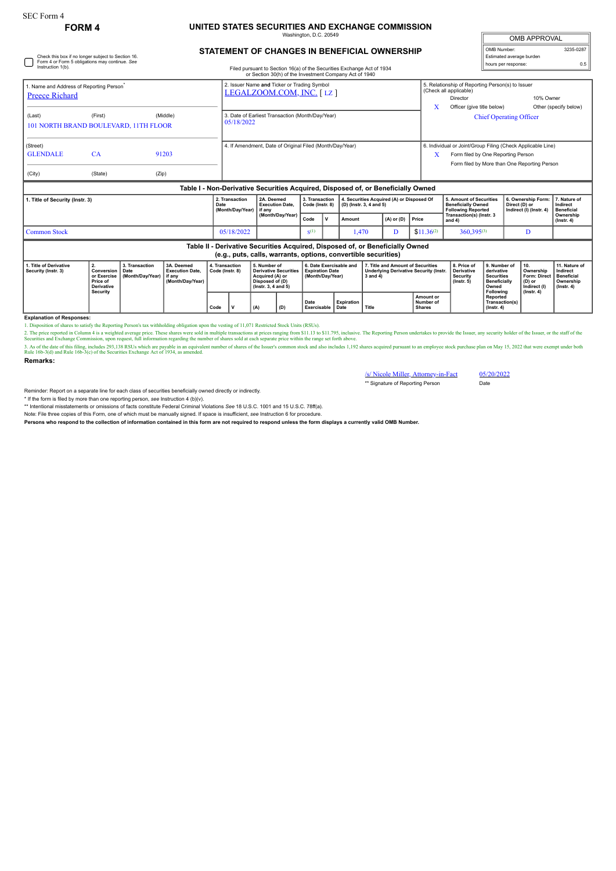# **FORM 4 UNITED STATES SECURITIES AND EXCHANGE COMMISSION**

Washington, D.C. 20549

| <b>OMB APPROVAL</b>      |           |  |  |  |  |  |  |
|--------------------------|-----------|--|--|--|--|--|--|
| OMB Number:              | 3235-0287 |  |  |  |  |  |  |
| Estimated average burden |           |  |  |  |  |  |  |
| hours per response:      | 0.5       |  |  |  |  |  |  |

# **STATEMENT OF CHANGES IN BENEFICIAL OWNERSHIP**

| 1. Title of Security (Instr. 3)                                                                                           |           | 2. Transaction<br>Date<br>(Month/Day/Year) | 2A. Deemed<br><b>Execution Date.</b><br>if any<br>(Month/Day/Year) | 3. Transaction<br>Code (Instr. 8)<br>$\mathbf{u}$<br>Castle 1           | 4. Securities Acquired (A) or Disposed Of<br>(D) (lnstr. 3, 4 and 5)<br>$(A)$ as $(D)$ $B$ sine<br>American |  |   | <b>5. Amount of Securities</b><br><b>Beneficially Owned</b><br><b>Following Reported</b><br>Transaction(s) (Instr. 3 | 6. Ownership Form:<br>Direct (D) or<br>Indirect (I) (Instr. 4)                         | 7. Nature of<br>Indirect<br><b>Beneficial</b><br>Ownership |                       |  |
|---------------------------------------------------------------------------------------------------------------------------|-----------|--------------------------------------------|--------------------------------------------------------------------|-------------------------------------------------------------------------|-------------------------------------------------------------------------------------------------------------|--|---|----------------------------------------------------------------------------------------------------------------------|----------------------------------------------------------------------------------------|------------------------------------------------------------|-----------------------|--|
| Table I - Non-Derivative Securities Acquired, Disposed of, or Beneficially Owned                                          |           |                                            |                                                                    |                                                                         |                                                                                                             |  |   |                                                                                                                      |                                                                                        |                                                            |                       |  |
| (City)                                                                                                                    | (State)   | (Zip)                                      |                                                                    |                                                                         |                                                                                                             |  |   |                                                                                                                      |                                                                                        |                                                            |                       |  |
|                                                                                                                           |           |                                            |                                                                    |                                                                         |                                                                                                             |  |   |                                                                                                                      | Form filed by More than One Reporting Person                                           |                                                            |                       |  |
| (Street)<br><b>GLENDALE</b>                                                                                               | <b>CA</b> | 91203                                      |                                                                    | 4. If Amendment, Date of Original Filed (Month/Day/Year)                |                                                                                                             |  | X | 6. Individual or Joint/Group Filing (Check Applicable Line)<br>Form filed by One Reporting Person                    |                                                                                        |                                                            |                       |  |
| 101 NORTH BRAND BOULEVARD, 11TH FLOOR                                                                                     |           |                                            |                                                                    | 05/18/2022                                                              |                                                                                                             |  |   |                                                                                                                      |                                                                                        |                                                            |                       |  |
| (Last)                                                                                                                    | (First)   | (Middle)                                   |                                                                    | 3. Date of Earliest Transaction (Month/Day/Year)                        |                                                                                                             |  |   |                                                                                                                      | <b>Chief Operating Officer</b>                                                         |                                                            |                       |  |
|                                                                                                                           |           |                                            |                                                                    |                                                                         |                                                                                                             |  |   | X                                                                                                                    | Officer (give title below)                                                             |                                                            | Other (specify below) |  |
| 1. Name and Address of Reporting Person <sup>*</sup><br>Preece Richard                                                    |           |                                            |                                                                    | 2. Issuer Name and Ticker or Trading Symbol<br>LEGALZOOM.COM, INC. [LZ] |                                                                                                             |  |   |                                                                                                                      | 5. Relationship of Reporting Person(s) to Issuer<br>(Check all applicable)<br>Director | 10% Owner                                                  |                       |  |
|                                                                                                                           |           |                                            |                                                                    | or Section 30(h) of the Investment Company Act of 1940                  |                                                                                                             |  |   |                                                                                                                      |                                                                                        |                                                            |                       |  |
| Check this box if no longer subject to Section 16.<br>Form 4 or Form 5 obligations may continue. See<br>Instruction 1(b). |           |                                            |                                                                    | Filed pursuant to Section 16(a) of the Securities Exchange Act of 1934  |                                                                                                             |  |   |                                                                                                                      | Estimated average burden<br>hours per response:                                        |                                                            | 0.5                   |  |

#### (*Month*) Code **and 4) Ownership Condensation Condensation Condensation Condensation Condensation Condensation Condensation Condensation Condensation Condensation Condensation Condensation Condensation Condensation**  $Common Stock$   $05/18/2022$   $S^{(1)}$  $1,470$  D  $$11.36^{(2)}$   $360,395^{(3)}$  D **Table II - Derivative Securities Acquired, Disposed of, or Beneficially Owned (e.g., puts, calls, warrants, options, convertible securities) 1. Title of Derivative Security (Instr. 3) 2. Conversion or Exercise Price of Derivative Security 3. Transaction Date (Month/Day/Year) 3A. Deemed Execution Date, if any (Month/Day/Year) 4. Transaction Code (Instr. 8) 5. Number of Derivative Securities Acquired (A) or Disposed of (D) (Instr. 3, 4 and 5) 6. Date Exercisable and Expiration Date (Month/Day/Year) 7. Title and Amount of Securities Underlying Derivative Security (Instr. 3 and 4) 8. Price of Derivative Security (Instr. 5) 9. Number of derivative Securities Beneficially Owned Following Reported Transaction(s) (Instr. 4) 10. Ownership Form: Direct (D) or Indirect (I) (Instr. 4) 11. Nature of Indirect Beneficial Ownership (Instr. 4) Date Exercisable Expiration Date Title Amount or Number of Shares**

**Explanation of Responses:**

1. Disposition of shares to satisfy the Reporting Person's tax withholding obligation upon the vesting of 11,071 Restricted Stock Units (RSUs).

2. The price reported in Column 4 is a weighted average price. These shares were sold in multiple transactions at prices ranging from \$11.13 to \$11.795, inclusive. The Reporting Person undertakes to provide the Issuer, any

**Remarks:**

### /s/ Nicole Miller, Attorney-in-Fact 05/20/2022<br>\*\* Signature of Reporting Person Date \*\* Signature of Reporting Person

Reminder: Report on a separate line for each class of securities beneficially owned directly or indirectly.

\* If the form is filed by more than one reporting person, *see* Instruction 4 (b)(v).

\*\* Intentional misstatements or omissions of facts constitute Federal Criminal Violations *See* 18 U.S.C. 1001 and 15 U.S.C. 78ff(a).

Note: File three copies of this Form, one of which must be manually signed. If space is insufficient, *see* Instruction 6 for procedure.

**Persons who respond to the collection of information contained in this form are not required to respond unless the form displays a currently valid OMB Number.**

**Code V (A) (D)**